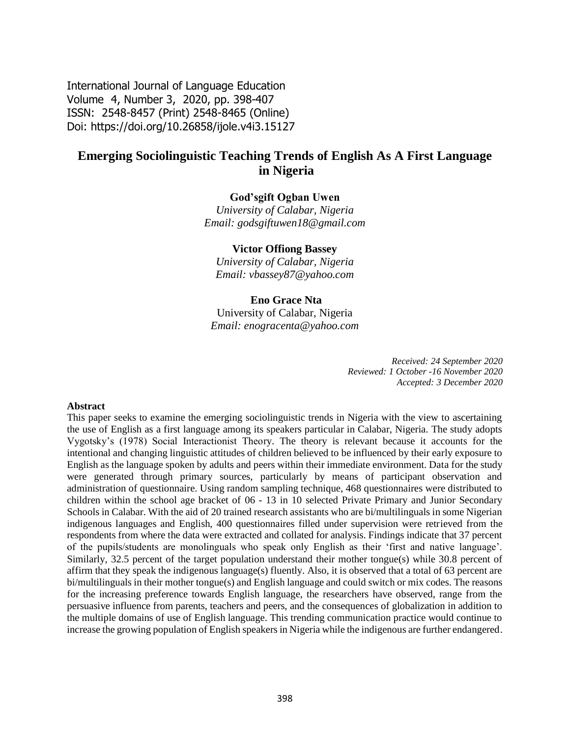International Journal of Language Education Volume 4, Number 3, 2020, pp. 398-407 ISSN: 2548-8457 (Print) 2548-8465 (Online) Doi: <https://doi.org/10.26858/ijole.v4i3.15127>

# **Emerging Sociolinguistic Teaching Trends of English As A First Language in Nigeria**

#### **God'sgift Ogban Uwen**

*University of Calabar, Nigeria Email: godsgiftuwen18@gmail.com*

#### **Victor Offiong Bassey**

*University of Calabar, Nigeria Email: [vbassey87@yahoo.com](mailto:vbassey87@yahoo.com)*

#### **Eno Grace Nta**

University of Calabar, Nigeria *Email: [enogracenta@yahoo.com](mailto:enogracenta@yahoo.com)*

> *Received: 24 September 2020 Reviewed: 1 October -16 November 2020 Accepted: 3 December 2020*

#### **Abstract**

This paper seeks to examine the emerging sociolinguistic trends in Nigeria with the view to ascertaining the use of English as a first language among its speakers particular in Calabar, Nigeria. The study adopts Vygotsky's (1978) Social Interactionist Theory. The theory is relevant because it accounts for the intentional and changing linguistic attitudes of children believed to be influenced by their early exposure to English as the language spoken by adults and peers within their immediate environment. Data for the study were generated through primary sources, particularly by means of participant observation and administration of questionnaire. Using random sampling technique, 468 questionnaires were distributed to children within the school age bracket of 06 - 13 in 10 selected Private Primary and Junior Secondary Schools in Calabar. With the aid of 20 trained research assistants who are bi/multilinguals in some Nigerian indigenous languages and English, 400 questionnaires filled under supervision were retrieved from the respondents from where the data were extracted and collated for analysis. Findings indicate that 37 percent of the pupils/students are monolinguals who speak only English as their 'first and native language'. Similarly, 32.5 percent of the target population understand their mother tongue(s) while 30.8 percent of affirm that they speak the indigenous language(s) fluently. Also, it is observed that a total of 63 percent are bi/multilinguals in their mother tongue(s) and English language and could switch or mix codes. The reasons for the increasing preference towards English language, the researchers have observed, range from the persuasive influence from parents, teachers and peers, and the consequences of globalization in addition to the multiple domains of use of English language. This trending communication practice would continue to increase the growing population of English speakers in Nigeria while the indigenous are further endangered.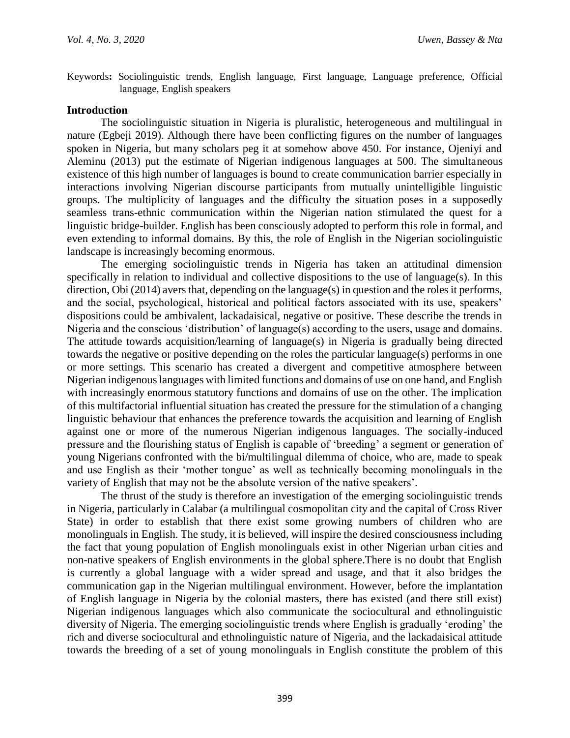Keywords**:** Sociolinguistic trends, English language, First language, Language preference, Official language, English speakers

#### **Introduction**

The sociolinguistic situation in Nigeria is pluralistic, heterogeneous and multilingual in nature (Egbeji 2019). Although there have been conflicting figures on the number of languages spoken in Nigeria, but many scholars peg it at somehow above 450. For instance, Ojeniyi and Aleminu (2013) put the estimate of Nigerian indigenous languages at 500. The simultaneous existence of this high number of languages is bound to create communication barrier especially in interactions involving Nigerian discourse participants from mutually unintelligible linguistic groups. The multiplicity of languages and the difficulty the situation poses in a supposedly seamless trans-ethnic communication within the Nigerian nation stimulated the quest for a linguistic bridge-builder. English has been consciously adopted to perform this role in formal, and even extending to informal domains. By this, the role of English in the Nigerian sociolinguistic landscape is increasingly becoming enormous.

The emerging sociolinguistic trends in Nigeria has taken an attitudinal dimension specifically in relation to individual and collective dispositions to the use of language(s). In this direction, Obi (2014) avers that, depending on the language(s) in question and the roles it performs, and the social, psychological, historical and political factors associated with its use, speakers' dispositions could be ambivalent, lackadaisical, negative or positive. These describe the trends in Nigeria and the conscious 'distribution' of language(s) according to the users, usage and domains. The attitude towards acquisition/learning of language(s) in Nigeria is gradually being directed towards the negative or positive depending on the roles the particular language(s) performs in one or more settings. This scenario has created a divergent and competitive atmosphere between Nigerian indigenous languages with limited functions and domains of use on one hand, and English with increasingly enormous statutory functions and domains of use on the other. The implication of this multifactorial influential situation has created the pressure for the stimulation of a changing linguistic behaviour that enhances the preference towards the acquisition and learning of English against one or more of the numerous Nigerian indigenous languages. The socially-induced pressure and the flourishing status of English is capable of 'breeding' a segment or generation of young Nigerians confronted with the bi/multilingual dilemma of choice, who are, made to speak and use English as their 'mother tongue' as well as technically becoming monolinguals in the variety of English that may not be the absolute version of the native speakers'.

The thrust of the study is therefore an investigation of the emerging sociolinguistic trends in Nigeria, particularly in Calabar (a multilingual cosmopolitan city and the capital of Cross River State) in order to establish that there exist some growing numbers of children who are monolinguals in English. The study, it is believed, will inspire the desired consciousness including the fact that young population of English monolinguals exist in other Nigerian urban cities and non-native speakers of English environments in the global sphere.There is no doubt that English is currently a global language with a wider spread and usage, and that it also bridges the communication gap in the Nigerian multilingual environment. However, before the implantation of English language in Nigeria by the colonial masters, there has existed (and there still exist) Nigerian indigenous languages which also communicate the sociocultural and ethnolinguistic diversity of Nigeria. The emerging sociolinguistic trends where English is gradually 'eroding' the rich and diverse sociocultural and ethnolinguistic nature of Nigeria, and the lackadaisical attitude towards the breeding of a set of young monolinguals in English constitute the problem of this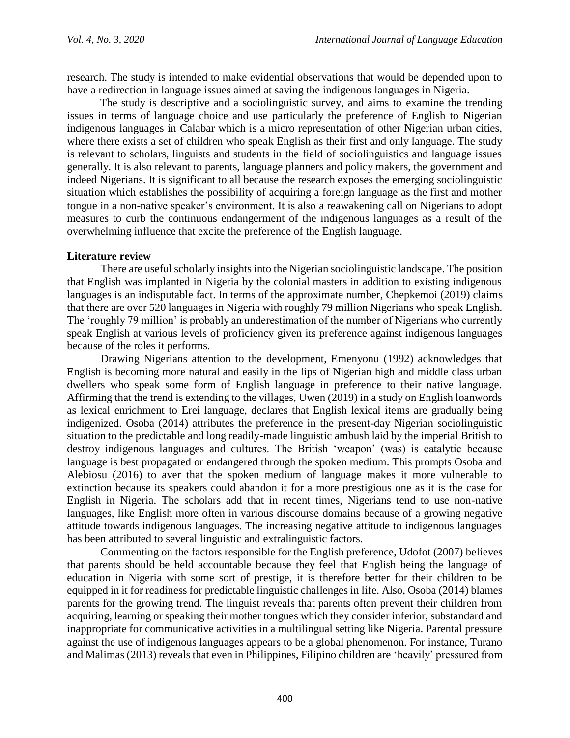research. The study is intended to make evidential observations that would be depended upon to have a redirection in language issues aimed at saving the indigenous languages in Nigeria.

The study is descriptive and a sociolinguistic survey, and aims to examine the trending issues in terms of language choice and use particularly the preference of English to Nigerian indigenous languages in Calabar which is a micro representation of other Nigerian urban cities, where there exists a set of children who speak English as their first and only language. The study is relevant to scholars, linguists and students in the field of sociolinguistics and language issues generally. It is also relevant to parents, language planners and policy makers, the government and indeed Nigerians. It is significant to all because the research exposes the emerging sociolinguistic situation which establishes the possibility of acquiring a foreign language as the first and mother tongue in a non-native speaker's environment. It is also a reawakening call on Nigerians to adopt measures to curb the continuous endangerment of the indigenous languages as a result of the overwhelming influence that excite the preference of the English language.

# **Literature review**

There are useful scholarly insights into the Nigerian sociolinguistic landscape. The position that English was implanted in Nigeria by the colonial masters in addition to existing indigenous languages is an indisputable fact. In terms of the approximate number, Chepkemoi (2019) claims that there are over 520 languages in Nigeria with roughly 79 million Nigerians who speak English. The 'roughly 79 million' is probably an underestimation of the number of Nigerians who currently speak English at various levels of proficiency given its preference against indigenous languages because of the roles it performs.

Drawing Nigerians attention to the development, Emenyonu (1992) acknowledges that English is becoming more natural and easily in the lips of Nigerian high and middle class urban dwellers who speak some form of English language in preference to their native language. Affirming that the trend is extending to the villages, Uwen (2019) in a study on English loanwords as lexical enrichment to Erei language, declares that English lexical items are gradually being indigenized. Osoba (2014) attributes the preference in the present-day Nigerian sociolinguistic situation to the predictable and long readily-made linguistic ambush laid by the imperial British to destroy indigenous languages and cultures. The British 'weapon' (was) is catalytic because language is best propagated or endangered through the spoken medium. This prompts Osoba and Alebiosu (2016) to aver that the spoken medium of language makes it more vulnerable to extinction because its speakers could abandon it for a more prestigious one as it is the case for English in Nigeria. The scholars add that in recent times, Nigerians tend to use non-native languages, like English more often in various discourse domains because of a growing negative attitude towards indigenous languages. The increasing negative attitude to indigenous languages has been attributed to several linguistic and extralinguistic factors.

Commenting on the factors responsible for the English preference, Udofot (2007) believes that parents should be held accountable because they feel that English being the language of education in Nigeria with some sort of prestige, it is therefore better for their children to be equipped in it for readiness for predictable linguistic challenges in life. Also, Osoba (2014) blames parents for the growing trend. The linguist reveals that parents often prevent their children from acquiring, learning or speaking their mother tongues which they consider inferior, substandard and inappropriate for communicative activities in a multilingual setting like Nigeria. Parental pressure against the use of indigenous languages appears to be a global phenomenon. For instance, Turano and Malimas (2013) reveals that even in Philippines, Filipino children are 'heavily' pressured from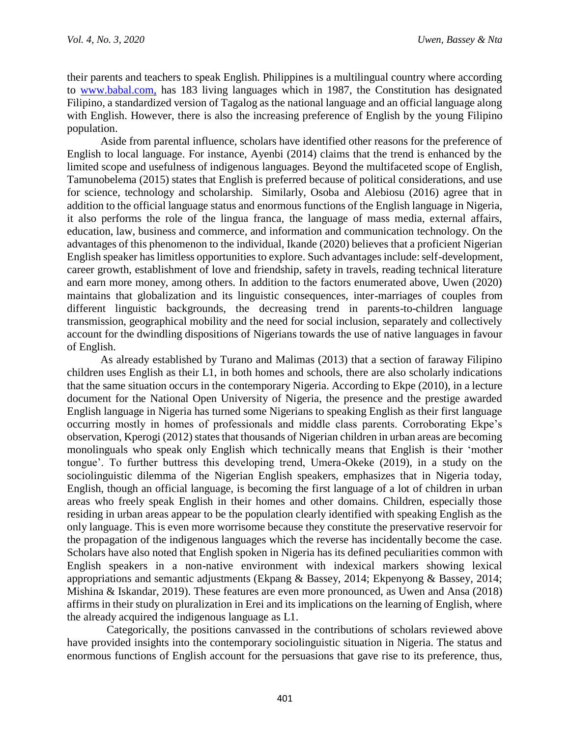their parents and teachers to speak English. Philippines is a multilingual country where according to [www.babal.com,](http://www.babal.com/) has 183 living languages which in 1987, the Constitution has designated Filipino, a standardized version of Tagalog as the national language and an official language along with English. However, there is also the increasing preference of English by the young Filipino population.

Aside from parental influence, scholars have identified other reasons for the preference of English to local language. For instance, Ayenbi (2014) claims that the trend is enhanced by the limited scope and usefulness of indigenous languages. Beyond the multifaceted scope of English, Tamunobelema (2015) states that English is preferred because of political considerations, and use for science, technology and scholarship. Similarly, Osoba and Alebiosu (2016) agree that in addition to the official language status and enormous functions of the English language in Nigeria, it also performs the role of the lingua franca, the language of mass media, external affairs, education, law, business and commerce, and information and communication technology. On the advantages of this phenomenon to the individual, Ikande (2020) believes that a proficient Nigerian English speaker has limitless opportunities to explore. Such advantages include: self-development, career growth, establishment of love and friendship, safety in travels, reading technical literature and earn more money, among others. In addition to the factors enumerated above, Uwen (2020) maintains that globalization and its linguistic consequences, inter-marriages of couples from different linguistic backgrounds, the decreasing trend in parents-to-children language transmission, geographical mobility and the need for social inclusion, separately and collectively account for the dwindling dispositions of Nigerians towards the use of native languages in favour of English.

As already established by Turano and Malimas (2013) that a section of faraway Filipino children uses English as their L1, in both homes and schools, there are also scholarly indications that the same situation occurs in the contemporary Nigeria. According to Ekpe (2010), in a lecture document for the National Open University of Nigeria, the presence and the prestige awarded English language in Nigeria has turned some Nigerians to speaking English as their first language occurring mostly in homes of professionals and middle class parents. Corroborating Ekpe's observation, Kperogi (2012) states that thousands of Nigerian children in urban areas are becoming monolinguals who speak only English which technically means that English is their 'mother tongue'. To further buttress this developing trend, Umera-Okeke (2019), in a study on the sociolinguistic dilemma of the Nigerian English speakers, emphasizes that in Nigeria today, English, though an official language, is becoming the first language of a lot of children in urban areas who freely speak English in their homes and other domains. Children, especially those residing in urban areas appear to be the population clearly identified with speaking English as the only language. This is even more worrisome because they constitute the preservative reservoir for the propagation of the indigenous languages which the reverse has incidentally become the case. Scholars have also noted that English spoken in Nigeria has its defined peculiarities common with English speakers in a non-native environment with indexical markers showing lexical appropriations and semantic adjustments (Ekpang & Bassey, 2014; Ekpenyong & Bassey, 2014; Mishina & Iskandar, 2019). These features are even more pronounced, as Uwen and Ansa (2018) affirms in their study on pluralization in Erei and its implications on the learning of English, where the already acquired the indigenous language as L1.

Categorically, the positions canvassed in the contributions of scholars reviewed above have provided insights into the contemporary sociolinguistic situation in Nigeria. The status and enormous functions of English account for the persuasions that gave rise to its preference, thus,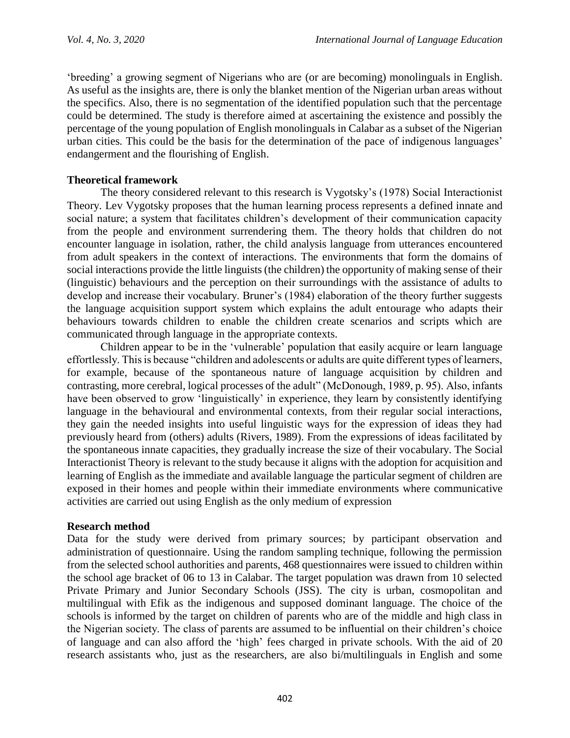'breeding' a growing segment of Nigerians who are (or are becoming) monolinguals in English. As useful as the insights are, there is only the blanket mention of the Nigerian urban areas without the specifics. Also, there is no segmentation of the identified population such that the percentage could be determined. The study is therefore aimed at ascertaining the existence and possibly the percentage of the young population of English monolinguals in Calabar as a subset of the Nigerian urban cities. This could be the basis for the determination of the pace of indigenous languages' endangerment and the flourishing of English.

# **Theoretical framework**

The theory considered relevant to this research is Vygotsky's (1978) Social Interactionist Theory. Lev Vygotsky proposes that the human learning process represents a defined innate and social nature; a system that facilitates children's development of their communication capacity from the people and environment surrendering them. The theory holds that children do not encounter language in isolation, rather, the child analysis language from utterances encountered from adult speakers in the context of interactions. The environments that form the domains of social interactions provide the little linguists (the children) the opportunity of making sense of their (linguistic) behaviours and the perception on their surroundings with the assistance of adults to develop and increase their vocabulary. Bruner's (1984) elaboration of the theory further suggests the language acquisition support system which explains the adult entourage who adapts their behaviours towards children to enable the children create scenarios and scripts which are communicated through language in the appropriate contexts.

Children appear to be in the 'vulnerable' population that easily acquire or learn language effortlessly. This is because "children and adolescents or adults are quite different types of learners, for example, because of the spontaneous nature of language acquisition by children and contrasting, more cerebral, logical processes of the adult" (McDonough, 1989, p. 95). Also, infants have been observed to grow 'linguistically' in experience, they learn by consistently identifying language in the behavioural and environmental contexts, from their regular social interactions, they gain the needed insights into useful linguistic ways for the expression of ideas they had previously heard from (others) adults (Rivers, 1989). From the expressions of ideas facilitated by the spontaneous innate capacities, they gradually increase the size of their vocabulary. The Social Interactionist Theory is relevant to the study because it aligns with the adoption for acquisition and learning of English as the immediate and available language the particular segment of children are exposed in their homes and people within their immediate environments where communicative activities are carried out using English as the only medium of expression

# **Research method**

Data for the study were derived from primary sources; by participant observation and administration of questionnaire. Using the random sampling technique, following the permission from the selected school authorities and parents, 468 questionnaires were issued to children within the school age bracket of 06 to 13 in Calabar. The target population was drawn from 10 selected Private Primary and Junior Secondary Schools (JSS). The city is urban, cosmopolitan and multilingual with Efik as the indigenous and supposed dominant language. The choice of the schools is informed by the target on children of parents who are of the middle and high class in the Nigerian society. The class of parents are assumed to be influential on their children's choice of language and can also afford the 'high' fees charged in private schools. With the aid of 20 research assistants who, just as the researchers, are also bi/multilinguals in English and some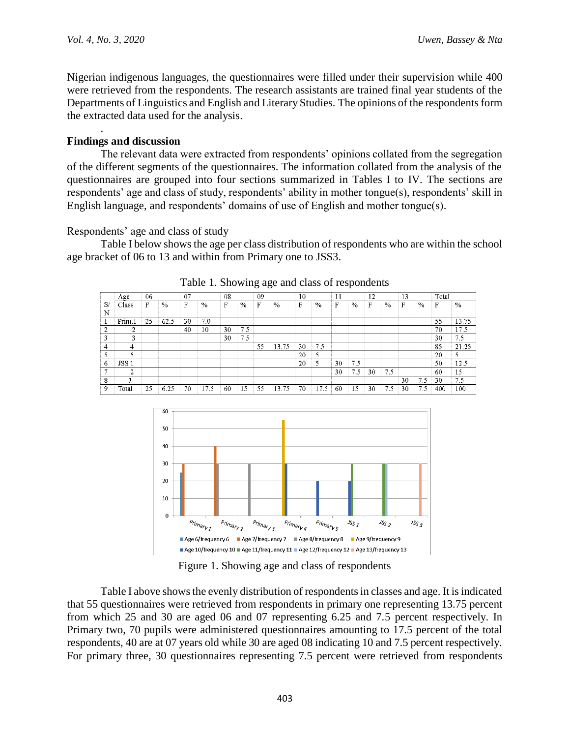.

Nigerian indigenous languages, the questionnaires were filled under their supervision while 400 were retrieved from the respondents. The research assistants are trained final year students of the Departments of Linguistics and English and Literary Studies. The opinions of the respondents form the extracted data used for the analysis.

# **Findings and discussion**

The relevant data were extracted from respondents' opinions collated from the segregation of the different segments of the questionnaires. The information collated from the analysis of the questionnaires are grouped into four sections summarized in Tables I to IV. The sections are respondents' age and class of study, respondents' ability in mother tongue(s), respondents' skill in English language, and respondents' domains of use of English and mother tongue(s).

#### Respondents' age and class of study

Table I below shows the age per class distribution of respondents who are within the school age bracket of 06 to 13 and within from Primary one to JSS3.

|     | Age    | 06 |      | 07 |      | 08 |     | 09 |       | 10 |      | 11 |      | 12 |      | 13 |     | Total |       |
|-----|--------|----|------|----|------|----|-----|----|-------|----|------|----|------|----|------|----|-----|-------|-------|
| -S/ | Class  | F  | $\%$ | F  | %    | F  | %   | F  | %     | F  | $\%$ | F  | $\%$ | F  | $\%$ | F  | %   | F     | $\%$  |
| N   |        |    |      |    |      |    |     |    |       |    |      |    |      |    |      |    |     |       |       |
|     | Prim.1 | 25 | 62.5 | 30 | 7.0  |    |     |    |       |    |      |    |      |    |      |    |     | 55    | 13.75 |
| 2   | ↑      |    |      | 40 | 10   | 30 | 7.5 |    |       |    |      |    |      |    |      |    |     | 70    | 17.5  |
| 3   | 3      |    |      |    |      | 30 | 7.5 |    |       |    |      |    |      |    |      |    |     | 30    | 7.5   |
| 4   | 4      |    |      |    |      |    |     | 55 | 13.75 | 30 | 7.5  |    |      |    |      |    |     | 85    | 21.25 |
| к   | 5      |    |      |    |      |    |     |    |       | 20 | 5    |    |      |    |      |    |     | 20    |       |
| 6   | JSS 1  |    |      |    |      |    |     |    |       | 20 | 5    | 30 | 7.5  |    |      |    |     | 50    | 12.5  |
|     | 2      |    |      |    |      |    |     |    |       |    |      | 30 | 7.5  | 30 | 7.5  |    |     | 60    | 15    |
| 8   | ٦      |    |      |    |      |    |     |    |       |    |      |    |      |    |      | 30 | 7.5 | 30    | 7.5   |
| 9   | Total  | 25 | 6.25 | 70 | 17.5 | 60 | 15  | 55 | 13.75 | 70 | 17.5 | 60 | 15   | 30 | 7.5  | 30 | 7.5 | 400   | 100   |

Table 1. Showing age and class of respondents



Figure 1. Showing age and class of respondents

Table I above shows the evenly distribution of respondents in classes and age. It is indicated that 55 questionnaires were retrieved from respondents in primary one representing 13.75 percent from which 25 and 30 are aged 06 and 07 representing 6.25 and 7.5 percent respectively. In Primary two, 70 pupils were administered questionnaires amounting to 17.5 percent of the total respondents, 40 are at 07 years old while 30 are aged 08 indicating 10 and 7.5 percent respectively. For primary three, 30 questionnaires representing 7.5 percent were retrieved from respondents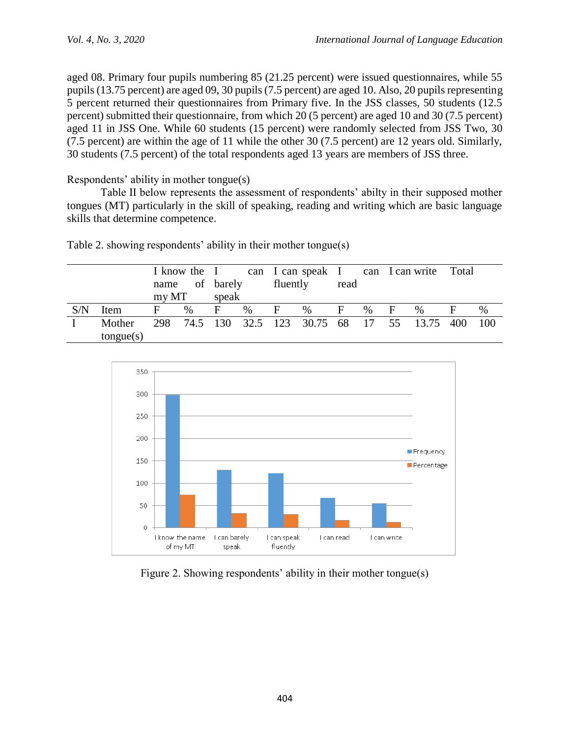aged 08. Primary four pupils numbering 85 (21.25 percent) were issued questionnaires, while 55 pupils (13.75 percent) are aged 09, 30 pupils (7.5 percent) are aged 10. Also, 20 pupils representing 5 percent returned their questionnaires from Primary five. In the JSS classes, 50 students (12.5 percent) submitted their questionnaire, from which 20 (5 percent) are aged 10 and 30 (7.5 percent) aged 11 in JSS One. While 60 students (15 percent) were randomly selected from JSS Two, 30 (7.5 percent) are within the age of 11 while the other 30 (7.5 percent) are 12 years old. Similarly, 30 students (7.5 percent) of the total respondents aged 13 years are members of JSS three.

Respondents' ability in mother tongue(s)

Table II below represents the assessment of respondents' abilty in their supposed mother tongues (MT) particularly in the skill of speaking, reading and writing which are basic language skills that determine competence.

|     |           |       |   | I know the I<br>name of barely |      | fluently |                                                | can I can speak I can I can write Total<br>read |      |     |      |   |       |
|-----|-----------|-------|---|--------------------------------|------|----------|------------------------------------------------|-------------------------------------------------|------|-----|------|---|-------|
|     |           | my MT |   | speak                          |      |          |                                                |                                                 |      |     |      |   |       |
| S/N | Item      | F     | % | F                              | $\%$ | F        | $\%$                                           | F                                               | $\%$ | - F | $\%$ | F | $\%$  |
|     | Mother    |       |   |                                |      |          | 298 74.5 130 32.5 123 30.75 68 17 55 13.75 400 |                                                 |      |     |      |   | - 100 |
|     | tongue(s) |       |   |                                |      |          |                                                |                                                 |      |     |      |   |       |

Table 2. showing respondents' ability in their mother tongue(s)



Figure 2. Showing respondents' ability in their mother tongue(s)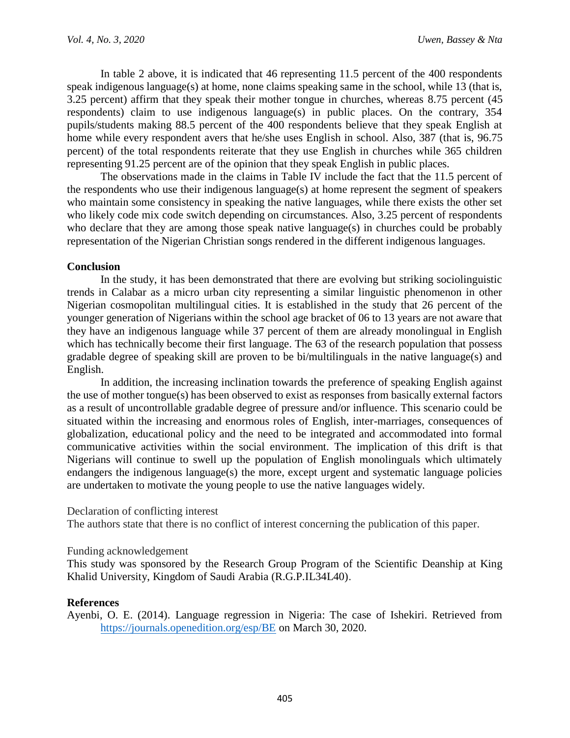In table 2 above, it is indicated that 46 representing 11.5 percent of the 400 respondents speak indigenous language(s) at home, none claims speaking same in the school, while 13 (that is, 3.25 percent) affirm that they speak their mother tongue in churches, whereas 8.75 percent (45 respondents) claim to use indigenous language(s) in public places. On the contrary, 354 pupils/students making 88.5 percent of the 400 respondents believe that they speak English at home while every respondent avers that he/she uses English in school. Also, 387 (that is, 96.75 percent) of the total respondents reiterate that they use English in churches while 365 children representing 91.25 percent are of the opinion that they speak English in public places.

The observations made in the claims in Table IV include the fact that the 11.5 percent of the respondents who use their indigenous language(s) at home represent the segment of speakers who maintain some consistency in speaking the native languages, while there exists the other set who likely code mix code switch depending on circumstances. Also, 3.25 percent of respondents who declare that they are among those speak native language(s) in churches could be probably representation of the Nigerian Christian songs rendered in the different indigenous languages.

# **Conclusion**

In the study, it has been demonstrated that there are evolving but striking sociolinguistic trends in Calabar as a micro urban city representing a similar linguistic phenomenon in other Nigerian cosmopolitan multilingual cities. It is established in the study that 26 percent of the younger generation of Nigerians within the school age bracket of 06 to 13 years are not aware that they have an indigenous language while 37 percent of them are already monolingual in English which has technically become their first language. The 63 of the research population that possess gradable degree of speaking skill are proven to be bi/multilinguals in the native language(s) and English.

In addition, the increasing inclination towards the preference of speaking English against the use of mother tongue(s) has been observed to exist as responses from basically external factors as a result of uncontrollable gradable degree of pressure and/or influence. This scenario could be situated within the increasing and enormous roles of English, inter-marriages, consequences of globalization, educational policy and the need to be integrated and accommodated into formal communicative activities within the social environment. The implication of this drift is that Nigerians will continue to swell up the population of English monolinguals which ultimately endangers the indigenous language(s) the more, except urgent and systematic language policies are undertaken to motivate the young people to use the native languages widely.

# Declaration of conflicting interest

The authors state that there is no conflict of interest concerning the publication of this paper.

# Funding acknowledgement

This study was sponsored by the Research Group Program of the Scientific Deanship at King Khalid University, Kingdom of Saudi Arabia (R.G.P.IL34L40).

# **References**

Ayenbi, O. E. (2014). Language regression in Nigeria: The case of Ishekiri. Retrieved from <https://journals.openedition.org/esp/BE> on March 30, 2020.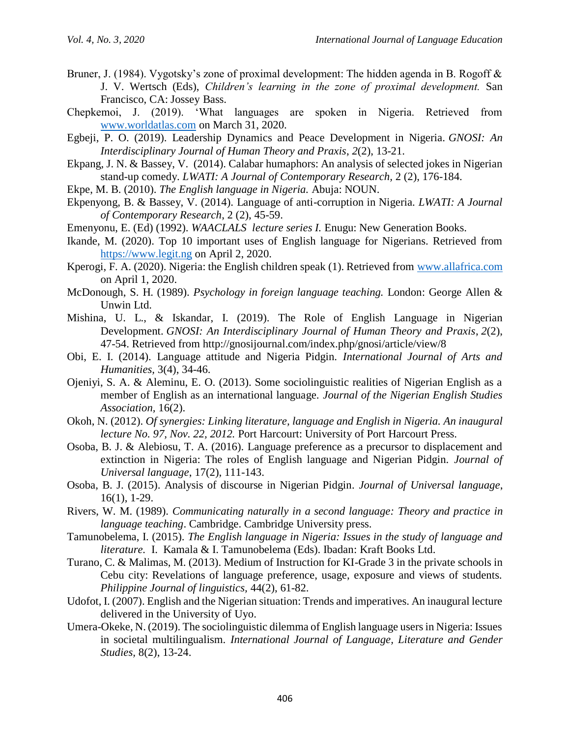- Bruner, J. (1984). Vygotsky's zone of proximal development: The hidden agenda in B. Rogoff & J. V. Wertsch (Eds), *Children's learning in the zone of proximal development.* San Francisco, CA: Jossey Bass.
- Chepkemoi, J. (2019). 'What languages are spoken in Nigeria. Retrieved from [www.worldatlas.com](http://www.worldatlas.com/) on March 31, 2020.
- Egbeji, P. O. (2019). Leadership Dynamics and Peace Development in Nigeria. *GNOSI: An Interdisciplinary Journal of Human Theory and Praxis*, *2*(2), 13-21.
- Ekpang, J. N. & Bassey, V. (2014). Calabar humaphors: An analysis of selected jokes in Nigerian stand-up comedy. *LWATI: A Journal of Contemporary Research,* 2 (2), 176-184.
- Ekpe, M. B. (2010). *The English language in Nigeria.* Abuja: NOUN.
- Ekpenyong, B. & Bassey, V. (2014). Language of anti-corruption in Nigeria*. LWATI: A Journal of Contemporary Research*, 2 (2), 45-59.
- Emenyonu, E. (Ed) (1992). *WAACLALS lecture series I.* Enugu: New Generation Books.
- Ikande, M. (2020). Top 10 important uses of English language for Nigerians. Retrieved from [https://www.legit.ng](https://www.legit.ng/) on April 2, 2020.
- Kperogi, F. A. (2020). Nigeria: the English children speak (1). Retrieved from [www.allafrica.com](http://www.allafrica.com/) on April 1, 2020.
- McDonough, S. H. (1989). *Psychology in foreign language teaching.* London: George Allen & Unwin Ltd.
- Mishina, U. L., & Iskandar, I. (2019). The Role of English Language in Nigerian Development. *GNOSI: An Interdisciplinary Journal of Human Theory and Praxis*, *2*(2), 47-54. Retrieved from http://gnosijournal.com/index.php/gnosi/article/view/8
- Obi, E. I. (2014). Language attitude and Nigeria Pidgin. *International Journal of Arts and Humanities,* 3(4), 34-46.
- Ojeniyi, S. A. & Aleminu, E. O. (2013). Some sociolinguistic realities of Nigerian English as a member of English as an international language. *Journal of the Nigerian English Studies Association,* 16(2).
- Okoh, N. (2012). *Of synergies: Linking literature, language and English in Nigeria. An inaugural lecture No. 97, Nov. 22, 2012.* Port Harcourt: University of Port Harcourt Press.
- Osoba, B. J. & Alebiosu, T. A. (2016). Language preference as a precursor to displacement and extinction in Nigeria: The roles of English language and Nigerian Pidgin. *Journal of Universal language*, 17(2), 111-143.
- Osoba, B. J. (2015). Analysis of discourse in Nigerian Pidgin*. Journal of Universal language*, 16(1), 1-29.
- Rivers, W. M. (1989). *Communicating naturally in a second language: Theory and practice in language teaching*. Cambridge. Cambridge University press.
- Tamunobelema, I. (2015). *The English language in Nigeria: Issues in the study of language and literature.* I. Kamala & I. Tamunobelema (Eds). Ibadan: Kraft Books Ltd.
- Turano, C. & Malimas, M. (2013). Medium of Instruction for KI-Grade 3 in the private schools in Cebu city: Revelations of language preference, usage, exposure and views of students. *Philippine Journal of linguistics,* 44(2), 61-82.
- Udofot, I. (2007). English and the Nigerian situation: Trends and imperatives. An inaugural lecture delivered in the University of Uyo.
- Umera-Okeke, N. (2019). The sociolinguistic dilemma of English language users in Nigeria: Issues in societal multilingualism. *International Journal of Language, Literature and Gender Studies,* 8(2), 13-24.